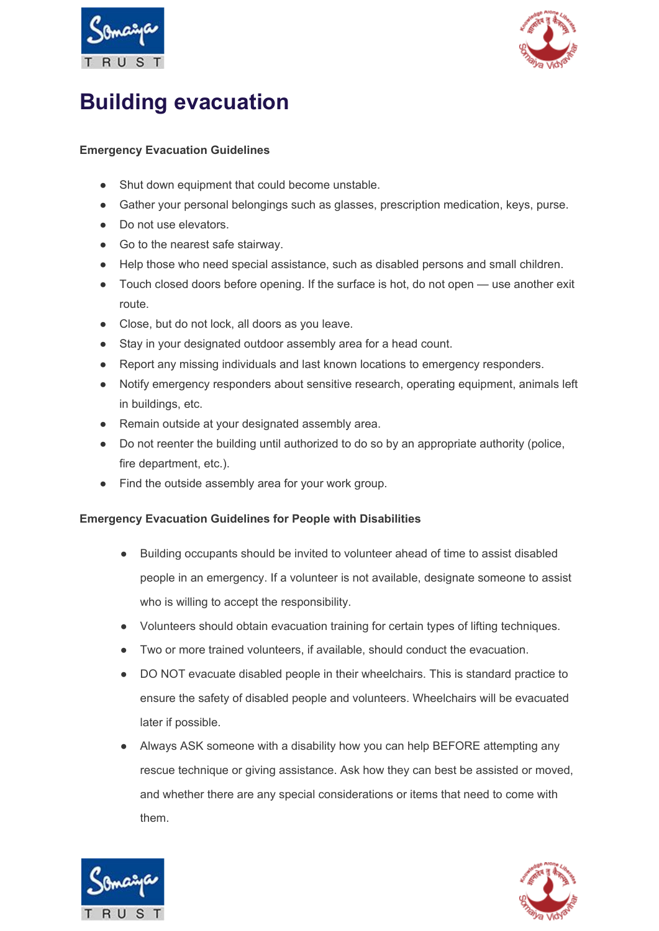



## **Building evacuation**

## **Emergency Evacuation Guidelines**

- Shut down equipment that could become unstable.
- Gather your personal belongings such as glasses, prescription medication, keys, purse.
- Do not use elevators.
- Go to the nearest safe stairway.
- Help those who need special assistance, such as disabled persons and small children.
- Touch closed doors before opening. If the surface is hot, do not open use another exit route.
- Close, but do not lock, all doors as you leave.
- Stay in your designated outdoor assembly area for a head count.
- Report any missing individuals and last known locations to emergency responders.
- Notify emergency responders about sensitive research, operating equipment, animals left in buildings, etc.
- Remain outside at your designated assembly area.
- Do not reenter the building until authorized to do so by an appropriate authority (police, fire department, etc.).
- Find the outside assembly area for your work group.

## **Emergency Evacuation Guidelines for People with Disabilities**

- Building occupants should be invited to volunteer ahead of time to assist disabled people in an emergency. If a volunteer is not available, designate someone to assist who is willing to accept the responsibility.
- Volunteers should obtain evacuation training for certain types of lifting techniques.
- Two or more trained volunteers, if available, should conduct the evacuation.
- DO NOT evacuate disabled people in their wheelchairs. This is standard practice to ensure the safety of disabled people and volunteers. Wheelchairs will be evacuated later if possible.
- Always ASK someone with a disability how you can help BEFORE attempting any rescue technique or giving assistance. Ask how they can best be assisted or moved, and whether there are any special considerations or items that need to come with them.